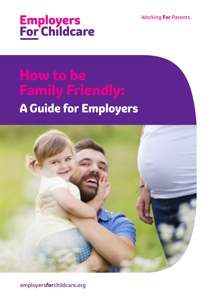Working For Parents

# **Employers<br>For Childcare**

# A Guide for Employers



employersforchildcare.org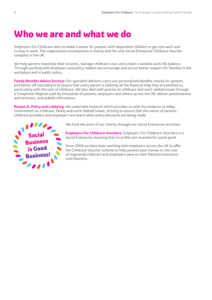## Who we are and what we do

Employers For Childcare aims to make it easier for parents with dependent children to get into work and to stay in work. The organisation encompasses a charity and the only Social Enterprise Childcare Voucher company in the UK.

We help parents maximise their incomes, manage childcare costs and create a suitable work-life balance. Through working with employers and policy makers we encourage and secure better support for families in the workplace and in public policy.

**Family Benefits Advice Service:** Our specialist Advisors carry out personalised benefits checks for parents and better off calculations to ensure that every parent is claiming all the financial help they are entitled to, particularly with the cost of childcare. We also deal with queries on childcare and work related issues through a Freephone Helpline used by thousands of parents, employers and others across the UK, deliver presentations and seminars, and publish information.

**Research, Policy and Lobbying:** We undertake research which provides us with the evidence to lobby Government on childcare, family and work-related issues, striving to ensure that the voices of parents, childcare providers and employers are heard when policy decisions are being made.



We fund the work of our charity through our Social Enterprise activities:

**Employers For Childcare Vouchers:** Employers For Childcare Vouchers is a Social Enterprise meaning that its profits are invested for social good.

Since 2004 we have been working with employers across the UK to offer the Childcare Voucher scheme to help parents save money on the cost of registered childcare and employers save on their National Insurance contributions.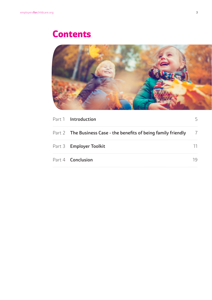# **Contents**



| Part 1 Introduction                                              |  |
|------------------------------------------------------------------|--|
| Part 2 The Business Case - the benefits of being family friendly |  |
| Part 3 Employer Toolkit                                          |  |
| Part 4 <b>Conclusion</b>                                         |  |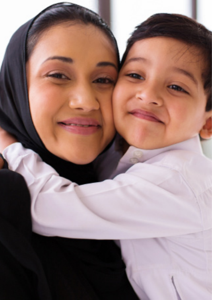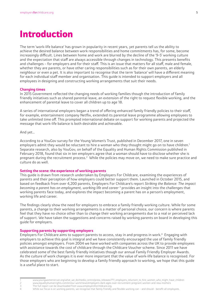### Introduction

The term 'work-life balance' has grown in popularity in recent years, yet parents tell us the ability to achieve the desired balance between work responsibilities and home commitments has, for some, become increasingly difficult. Lines between home and work are blurred by the decline of the '9-5' working culture and the expectation that staff are always accessible through changes in technology. This presents benefits and challenges – for employers and for their staff. This is an issue that matters for all staff, male and female, whether they are parents, or have other caring responsibilities such as for their own parents, an elderly neighbour or even a pet. It is also important to recognise that the term 'balance' will have a different meaning for each individual staff member and organisation. This guide is intended to support employers and all employees in designing and constructing working arrangements that suit their needs.

#### **Changing times**

In 2015 Government reflected the changing needs of working families though the introduction of family friendly initiatives such as shared parental leave, an extension of the right to request flexible working, and the enhancement of parental leave to cover all children up to age 18.

A series of international employers began a trend of offering enhanced family friendly policies to their staff, for example, entertainment company Netflix, extended its parental leave programme allowing employees to take unlimited time off. This prompted international debate on support for working parents and projected the message that work-life balance is both desirable and achievable.

#### And yet…

According to a YouGov survey for the Young Women's Trust, published in December 2017, one in seven employers admit they would be reluctant to hire a woman who they thought might go on to have children.<sup>1</sup> Separate research, also by YouGov, on behalf of the Equality and Human Rights Commission published in February 2018, found that six in ten employers agree that a woman should have to disclose whether she is pregnant during the recruitment process.<sup>2</sup> While the policies may move on, we need to make sure practice and culture do as well.

#### **Setting the scene: the experience of working parents**

This guide is drawn from research undertaken by Employers For Childcare, examining the experiences of parents and their perception of how employers could better support them. Launched in October 2015, and based on feedback from over 4,200 parents, Employers For Childcare's report *Striking the Balance: The impact*  becoming a parent has on employment, working life and career <sup>3</sup> provides an insight into the challenges that working parents face today, and explores the impact becoming a parent has on a person's employment, working life and career.

The findings clearly show the need for employers to embrace a family friendly working culture. While for some parents, a change to their working arrangements is a matter of personal choice, our concern is where parents feel that they have no choice other than to change their working arrangements due to a real or perceived lack of support. We have taken the suggestions and concerns raised by working parents on board in developing this guide for employers.

#### **Supporting parents by supporting employers**

Employers For Childcare aims to support parents to access, stay in and progress in work.4 Engaging with employers to achieve this goal is integral and we have consistently encouraged the use of family friendly policies amongst employers. From 2004 we have worked with companies across the UK to provide employees with assistance towards the cost of childcare through the Childcare Voucher scheme. Since 2011 we have celebrated some of the best family friendly initiatives though our annual Family Friendly Employer Awards. As the culture of work changes it is ever more important that the value of work-life balance is recognised. For those employers who are beginning to develop a family friendly approach to working, we hope that this guide is a useful place to start.

3 The full report can be downloaded from www.employersforchildcare.org.<br>4 While our focus is on working parents, we recognise that family friendly While our focus is on working parents, we recognise that family friendly and flexible working can – and should - benefit all employees

<sup>1</sup> www.youngwomenstrust.org/what\_we\_do/media\_centre/press\_releases/711\_employers\_reluctant\_to\_hire\_women\_who\_might\_have\_children<br>2 www.equalityhumanrights.com/en/our-work/news/employers-dark-ages-over-recruitment-pregnant-w 2 www.equalityhumanrights.com/en/our-work/news/employers-dark-ages-over-recruitment-pregnant-women-and-new-mothers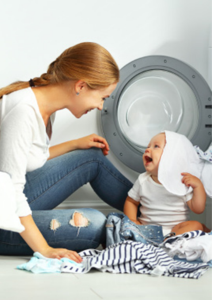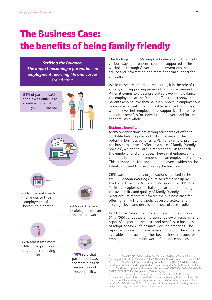# The Business Case: the benefits of being family friendly

*Striking the Balance: The impact becoming a parent has on employment, working life and career* found that:



The findings of our *Striking the Balance* report highlight various ways that parents could be supported in the workplace through Government interventions, better advice and information and more financial support for childcare.

While these are important measures, it is the role of the employer in supporting parents that was paramount. When it comes to creating a suitable work-life balance the employer is at the front line. The report shows that parents who believe they have a supportive employer are more satisfied with their work-life balance than those who believe their employer is unsupportive. There are also clear benefits for individual employers and for the economy as a whole.

#### **Business benefits**

Many organisations are strong advocates of offering work-life balance policies to staff because of the potential business benefits. CIPD, for example, promote the business sense of offering a suite of family friendly policies5 , which they argue represent a win for both the employer and employee. They say it enhances the company brand and promotes it as an employer of choice. This is important for targeting employees, widening the talent pool, and future-proofing the business.

CIPD was one of many organisations involved in the *Family Friendly Working Hours Taskforce* set up by the Department for Work and Pensions in 20096. The Taskforce explored the challenges around improving the availability and quality of family friendly working practices. Its report reinforces the business case for offering family friendly policies on a practical and strategic level and details some useful case studies.

In 2014, the *Department for Business, Innovation and Skills (BIS)* conducted a literature review of research and reports<sup>7</sup>, exploring the costs and benefits to businesses of adopting work-life balance working practices. The report acts as a comprehensive summary of the evidence available and draws together key business reasons for employers to implement work-life balance policies.

<sup>5</sup> See CIPD (2013) Future-Proofing Business Resilience Through Flexible Working – Insights from Members of the CIPD Senior Diversity Network, London: CIPD. 6 See Family Friendly Working Hours Taskforce (2014) Flexible working: working for families, working for business. A report by the Family Friendly Working Hours Taskforce, http://www.cipd.co.uk/NR/rdonlyres/F36B815C-ABAF-4A04-8842- 639EA20E48BD/0/Flexible\_working\_Taskforce\_report.pdf.

<sup>7</sup> Department for Business, Innovation and Skills (2014) Costs and Benefits to Business of Adopting Work Life Balance Working Practices: A Literature Review, available at www.gov.uk/government/uploads/system/uploads/attachment\_ data/file/323290/bis-14-903-costs-and-benefits-to-business-of-adopting-work-lifebalance-working-practices-a-literature-review.pdf.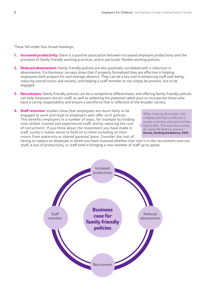These fall under four broad headings:

- **1. Increased productivity:** there is a positive association between increased employee productivity and the provision of family friendly working practices, and in particular flexible working policies.
- **2. Reduced absenteeism:** family friendly policies are also positively correlated with a reduction in absenteeism. Furthermore, surveys show that if properly formalised they are effective in helping employees both prepare for and manage absence. They can be a key tool in enhancing staff well-being, reducing overall stress and anxiety, and helping a staff member to not simply be present, but to be engaged.
- **3. Recruitment:** family friendly policies can be a competitive differentiator and offering family friendly policies can help employers attract staff, as well as widening the potential talent pool to incorporate those who have a caring responsibility and ensure a workforce that is reflective of the broader society.
- **4. Staff retention:** studies show that employees are more likely to be engaged at work and loyal to employers who offer such policies. This benefits employers in a number of ways, for example by holding onto skilled, trained and experienced staff, and by reducing the cost of recruitment. If you think about the investment you have made in staff, surely it makes sense to hold on to them including on their return from maternity or shared parental leave. Consider the cost of

*"After I had my first child, I left a highly paid high profile job to accept a job less well paid and less high profile. This was done purely for work-life balance reasons."*  **Parent, Striking the Balance, 2015**

having to replace an employee in whom you have invested whether that cost is in the recruitment exercise itself, a loss of productivity, or staff time in bringing a new member of staff up to speed.

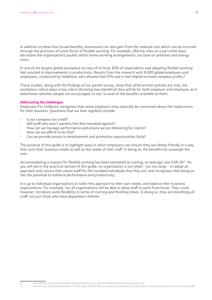In addition to these four broad benefits, businesses can also gain from the reduced cost which can be incurred through the provision of some forms of flexible working. For example, offering roles on a part-time basis decreases the organisation's paybill, whilst home-working arrangements can save on premises and energy costs.

In one of the largest global workplace surveys of its kind, 83% of respondents said adopting flexible working had resulted in improvements in productivity. Results from the research with 8,000 global employers and employees, conducted by Vodafone, also showed that 61% said it had helped increase company profits.<sup>8</sup>

These studies, along with the findings of our parent survey, show that while written policies are vital, the workplace culture plays a key role in dictating how beneficial they will be for both employer and employee, as it determines whether people are encouraged, or not, to avail of the benefits available to them.

#### **Addressing the challenges**

Employers For Childcare recognises that some employers may naturally be concerned about the implications for their business. Questions that we hear regularly include:

- Is our company too small?
- Will staff who aren't parents feel discriminated against?
- • How can we manage performance and ensure we are delivering for clients?
- How can we afford to do that?
- Can we provide access to development and promotion opportunities fairly?

The purpose of this guide is to highlight ways in which employers can ensure they are family friendly in a way that suits their business needs as well as the needs of their staff. In doing so, the benefits far outweigh the cost.

Accommodating a request for flexible working has been estimated as costing, on average, just £241.24.9 As you will see in the practical section of this guide, no organisation is too small – nor too large – to adopt an approach and culture that values staff for the rounded individuals that they are, and recognises that doing so has the potential to enhance performance and productivity.

It is up to individual organisations to tailor this approach to their own needs, and balance their business requirements. For example, not all organisations will be able to allow staff to work from home. They could, however, introduce some flexibility in terms of starting and finishing times. In doing so, they are benefiting all staff, not just those who have dependent children.

8 www.vodafone.com/content/index/media/vodafone-group-releases/2016/flexible-working-survey.html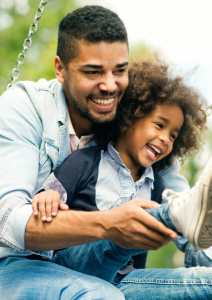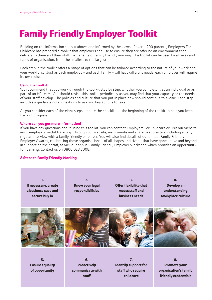# Family Friendly Employer Toolkit

Building on the information set out above, and informed by the views of over 4,200 parents, Employers For Childcare has prepared a toolkit that employers can use to ensure they are offering an environment that delivers to them and their staff the benefits of family friendly working. The toolkit can be used by all sizes and types of organisation, from the smallest to the largest.

Each step in the toolkit offers a range of options that can be tailored according to the nature of your work and your workforce. Just as each employee – and each family – will have different needs, each employer will require its own solution.

#### **Using the toolkit**

We recommend that you work through the toolkit step by step, whether you complete it as an individual or as part of an HR team. You should revisit this toolkit periodically as you may find that your capacity or the needs of your staff develop. The policies and culture that you put in place now should continue to evolve. Each step includes a guidance note, questions to ask and key actions to take.

As you consider each of the eight steps, update the checklist at the beginning of the toolkit to help you keep track of progress.

#### **Where can you get more information?**

If you have any questions about using this toolkit, you can contact Employers For Childcare or visit our website www.employersforchildcare.org. Through our website, we promote and share best practice including a new, regular interview with a family friendly employer. You will also find details of our annual Family Friendly Employer Awards, celebrating those organisations – of all shapes and sizes – that have gone above and beyond in supporting their staff, as well our annual Family Friendly Employer Workshop which provides an opportunity for learning. Contact us on 0800 028 3008.

#### **8 Steps to Family Friendly Working**

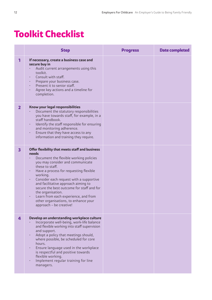# Toolkit Checklist

|                         | <b>Step</b>                                                                                                                                                                                                                                                                                                                                                                                                                                                                    | <b>Progress</b> | <b>Date completed</b> |
|-------------------------|--------------------------------------------------------------------------------------------------------------------------------------------------------------------------------------------------------------------------------------------------------------------------------------------------------------------------------------------------------------------------------------------------------------------------------------------------------------------------------|-----------------|-----------------------|
| 1                       | If necessary, create a business case and<br>secure buy in<br>Audit current arrangements using this<br>toolkit.<br>Consult with staff.<br>Prepare your business case.<br>Present it to senior staff.<br>Agree key actions and a timeline for<br>completion.                                                                                                                                                                                                                     |                 |                       |
| $\overline{2}$          | Know your legal responsibilities<br>Document the statutory responsibilities<br>you have towards staff, for example, in a<br>staff handbook.<br>Identify the staff responsible for ensuring<br>and monitoring adherence.<br>Ensure that they have access to any<br>$\bullet$<br>information and training they require.                                                                                                                                                          |                 |                       |
| $\overline{\mathbf{3}}$ | Offer flexibility that meets staff and business<br>needs<br>Document the flexible working policies<br>you may consider and communicate<br>these to staff.<br>Have a process for requesting flexible<br>working.<br>Consider each request with a supportive<br>and facilitative approach aiming to<br>secure the best outcome for staff and for<br>the organisation.<br>Learn from each experience, and from<br>other organisations, to enhance your<br>approach - be creative! |                 |                       |
| 4                       | Develop an understanding workplace culture<br>Incorporate well-being, work-life balance<br>and flexible working into staff supervision<br>and support.<br>Adopt a policy that meetings should,<br>where possible, be scheduled for core<br>hours.<br>Ensure language used in the workplace<br>is respectful and positive towards<br>flexible working.<br>Implement regular training for line<br>managers.                                                                      |                 |                       |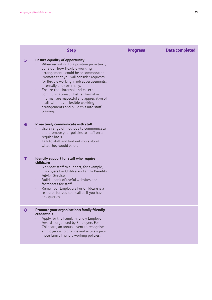|                         | <b>Step</b>                                                                                                                                                                                                                                                                                                                                                                                                                                                                                            | <b>Progress</b> | <b>Date completed</b> |
|-------------------------|--------------------------------------------------------------------------------------------------------------------------------------------------------------------------------------------------------------------------------------------------------------------------------------------------------------------------------------------------------------------------------------------------------------------------------------------------------------------------------------------------------|-----------------|-----------------------|
| 5                       | <b>Ensure equality of opportunity</b><br>When recruiting to a position proactively<br>consider how flexible working<br>arrangements could be accommodated.<br>Promote that you will consider requests<br>for flexible working in job advertisements,<br>internally and externally.<br>Ensure that internal and external<br>communications, whether formal or<br>informal, are respectful and appreciative of<br>staff who have flexible working<br>arrangements and build this into staff<br>training. |                 |                       |
| 6                       | Proactively communicate with staff<br>Use a range of methods to communicate<br>and promote your policies to staff on a<br>regular basis.<br>Talk to staff and find out more about<br>what they would value.                                                                                                                                                                                                                                                                                            |                 |                       |
| $\overline{\mathbf{r}}$ | Identify support for staff who require<br>childcare<br>Signpost staff to support, for example,<br><b>Employers For Childcare's Family Benefits</b><br>Advice Service.<br>Build a bank of useful websites and<br>factsheets for staff.<br>Remember Employers For Childcare is a<br>resource for you too, call us if you have<br>any queries.                                                                                                                                                            |                 |                       |
| 8                       | Promote your organisation's family friendly<br>credentials<br>Apply for the Family Friendly Employer<br>Awards, organised by Employers For<br>Childcare, an annual event to recognise<br>employers who provide and actively pro-<br>mote family friendly working policies.                                                                                                                                                                                                                             |                 |                       |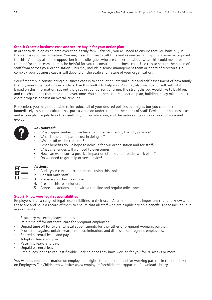#### **Step 1: Create a business case and secure buy in for your action plan**

In order to develop as an employer that is truly family friendly you will need to ensure that you have buy in from across your organisation. You may need to invest staff time and resources, and approval may be required for this. You may also face opposition from colleagues who are concerned about what this could mean for them or for their teams. It may be helpful for you to construct a business case. Use this to secure the buy in of staff from across your organisation. This may include a senior management team or board of directors. How complex your business case is will depend on the scale and nature of your organisation.

Your first step in constructing a business case is to conduct an internal audit and self-assessment of how family friendly your organisation currently is. Use this toolkit to help you. You may also wish to consult with staff. Based on this information, set out the gaps in your current offering, the strengths you would like to build on, and the challenges that need to be overcome. You can then create an action plan, building in key milestones to chart progress against an overall timeline.

Remember, you may not be able to introduce all of your desired policies overnight, but you can start immediately to build a culture that puts a value on understanding the needs of staff. Revisit your business case and action plan regularly as the needs of your organisation, and the nature of your workforce, change and evolve.



#### **Ask yourself:**

- What opportunities do we have to implement family friendly policies?
- What is the anticipated cost in doing so?
- What staff will be required?
- What benefits do we hope to achieve for our organisation and for staff?
- What challenges will we need to overcome?
- How can we ensure a positive impact on clients and broader work plans?
- Do we need to get help or seek advice?

#### **Actions:**

- 1. Audit your current arrangements using this toolkit.
- 2. Consult with staff.
- 3. Prepare your business case.
- 4. Present this to senior staff.
- 5. Agree key actions along with a timeline and regular milestones.

#### **Step 2: Know your legal responsibilities**

Employers have a range of legal responsibilities to their staff. At a minimum it is important that you know what these are and have a record of them to ensure that all staff who are eligible are able benefit. These include, but are not limited to:

- Statutory maternity leave and pay.
- Paid time off for antenatal care for pregnant employees.
- Unpaid time off for two antenatal appointments for the father or pregnant woman's partner.
- Protection against unfair treatment, discrimination, and dismissal of pregnant employees.
- • Shared parental leave and pay.
- Adoption leave and pay.
- Paternity leave and pay.
- • Unpaid parental leave.
- • Employees' right to request flexible working once they have worked for you for 26 weeks or more.

You will find more information on employment rights for expectant and for working parents in the factsheets on Employers For Childcare's website: www.employersforchildcare.org/parents/download-library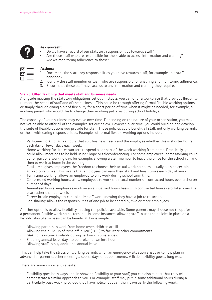

#### **Ask yourself:**

- Do we have a record of our statutory responsibilities towards staff?
- Are those staff who are responsible for these able to access information and training?
- Are we monitoring adherence to these?

#### **Actions:**

- 1. Document the statutory responsibilities you have towards staff, for example, in a staff handbook.
- 2. Identify the staff member or team who are responsible for ensuring and monitoring adherence.
- 3. Ensure that these staff have access to any information and training they require.

#### **Step 3: Offer flexibility that meets staff and business needs**

Alongside meeting the statutory obligations set out in step 2, you can offer a workplace that provides flexibility to meet the needs of staff and of the business. This could be through offering formal flexible working options or simply through giving a bit of flexibility for a short period of time when it might be needed, for example, a working parent who would like to change their working patterns during school holidays.

The capacity of your business may evolve over time. Depending on the nature of your organisation, you may not yet be able to offer all of the examples set out below. However, over time, you could build on and develop the suite of flexible options you provide for staff. These policies could benefit all staff, not only working parents or those with caring responsibilities. Examples of formal flexible working options include:

- Part-time working: agree hours that suit business needs and the employee whether this is shorter hours each day or fewer days each week.
- Home working: facilitates workers to spend all or part of the week working from home. Practically, you could allow meetings to be held using Skype or teleconferencing. For some employees, home working could be for part of a working day, for example, allowing a staff member to leave the office for the school run and then to work at home in the evening.
- Flexi-time: gives employees the freedom to choose their actual working hours, usually outside certain agreed core times. This means that employees can vary their start and finish times each day at work.
- Term time working: allows an employee to only work during school term time.
- Compressed working hours: allow employees to work their total number of contracted hours over a shorter number of days.
- Annualised hours: employees work on an annualised hours basis with contracted hours calculated over the year rather than per week.
- Career break: employees can take time off work knowing they have a job to return to.
- Job sharing: allows the responsibilities of one job to be shared by two or more employees.

Another option is to allow flexibility in using the policies available. Some parents may choose not to opt for a permanent flexible working pattern, but in some instances allowing staff to use the policies in place on a flexible, short-term basis can be beneficial. For example:

- $\cdot$  Allowing parents to work from home when children are ill.
- Allowing the build-up of 'time off in lieu' (TOIL) to facilitate other commitments.
- Making flexi-time available during certain circumstances.
- Enabling annual leave days to be broken down into hours.
- Allowing staff to buy additional annual leave.

This can help take the stress off working parents when an emergency situation arises or to help plan in advance for parent teacher meetings, sports days or appointments. A little flexibility goes a long way.

There are some important caveats:

Flexibility goes both ways and, in showing flexibility to your staff, you can also expect that they will demonstrate a similar approach to you. For example, staff may put in some additional hours during a particularly busy week, provided they have notice, but can then leave early the following week.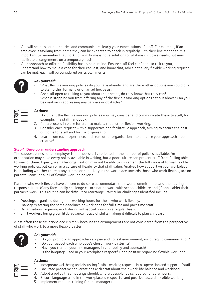- You will need to set boundaries and communicate clearly your expectations of staff. For example, if an employee is working from home they can be expected to check in regularly with their line manager. It is important to remember that working from home is not a solution to full-time childcare needs, but may facilitate arrangements on a temporary basis.
- Your approach to offering flexibility has to be genuine. Ensure staff feel confident to talk to you, understand how to make a case for their request, and know that, while not every flexible working request can be met, each will be considered on its own merits.



#### **Ask yourself:**

- What flexible working policies do you have already, and are there other options you could offer to staff either formally or on an ad hoc basis?
- Are staff open to talking to you about their needs, do they know that they can?
- What is stopping you from offering any of the flexible working options set out above? Can you be creative in addressing any barriers or obstacles?

#### **Actions:**

- 1. Document the flexible working policies you may consider and communicate these to staff, for example, in a staff handbook.
- 2. Put a process in place for staff to make a request for flexible working.
- 3. Consider each request with a supportive and facilitative approach, aiming to secure the best outcome for staff and for the organisation.
- 4. Learn from each experience, and from other organisations, to enhance your approach be creative!

#### **Step 4: Develop an understanding approach**

The supportiveness of an employer is not necessarily reflected in the number of policies available. An organisation may have every policy available in writing, but a poor culture can prevent staff from feeling able to avail of them. Equally, a smaller organisation may not be able to implement the full range of formal flexible working policies, but can offer a culture of flexibility that staff value. Analyse how supportive your workplace is, including whether there is any stigma or negativity in the workplace towards those who work flexibly, are on parental leave, or avail of flexible working policies.

Parents who work flexibly have chosen to do so to accommodate their work commitments and their caring responsibilities. Many face a daily challenge co-ordinating work with school, childcare and (if applicable) their partner's work. This routine can be difficult to rearrange. Particular challenges identified include:

- Meetings organised during non-working hours for those who work flexibly.
- Managers setting the same deadlines or workloads for full-time and part-time staff.
- Organisations requiring work during anti-social hours on a regular basis.
- Shift workers being given little advance notice of shifts making it difficult to plan childcare.

Most often these situations occur simply because the arrangements are not considered from the perspective of staff who work to a more flexible pattern.



#### **Ask yourself:**

- Do you promote an approachable, open and honest environment, encouraging communication?
- Do you respect each employee's chosen work patterns?
	- Have you trained your line managers in your policy and approach?
- Is the language used in your workplace respectful and positive regarding flexible working?

#### **Actions:**

- 1. Incorporate well-being and discussing flexible working requests into supervision and support of staff.
- 2. Facilitate proactive conversations with staff about their work-life balance and workload.
- 3. Adopt a policy that meetings should, where possible, be scheduled for core hours.
- 4. Ensure language used in the workplace is respectful and positive towards flexible working.
- 5. Implement regular training for line managers.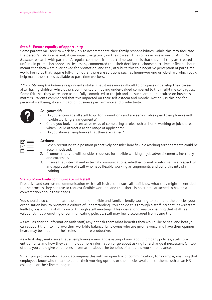#### **Step 5: Ensure equality of opportunity**

Some parents will seek to work flexibly to accommodate their family responsibilities. While this may facilitate the person's role as a parent, it can impact negatively on their career. This comes across in our *Striking the Balance* research with parents. A regular comment from part-time workers is that they feel they are treated unfairly in promotion opportunities. Many commented that their decision to choose part-time or flexible hours meant that they were overlooked for promotion, and they attribute this to a negative perception of part-time work. For roles that require full-time hours, there are solutions such as home-working or job-share which could help make these roles available to part-time workers.

77% of *Striking the Balance* respondents stated that it was more difficult to progress or develop their career after having children while others commented on feeling under-valued compared to their full-time colleagues. Some felt that they were seen as not fully committed to the job and, as such, are not consulted on business matters. Parents commented that this impacted on their self-esteem and morale. Not only is this bad for personal wellbeing, it can impact on business performance and productivity.



#### **Ask yourself:**

- Do you encourage all staff to go for promotions and are senior roles open to employees with flexible working arrangements?
- Could you look at alternative ways of completing a role, such as home working or job share, which would attract a wider range of applicants?
- Do you show all employees that they are valued?

#### **Actions:**

- 1. When recruiting to a position proactively consider how flexible working arrangements could be accommodated.
- 2. Promote that you will consider requests for flexible working in job advertisements, internally and externally.
- 3. Ensure that internal and external communications, whether formal or informal, are respectful and appreciative of staff who have flexible working arrangements and build this into staff training.

#### **Step 6: Proactively communicate with staff**

Proactive and consistent communication with staff is vital to ensure all staff know what they might be entitled to, the process they can use to request flexible working, and that there is no stigma attached to having a conversation about their needs.

You should also communicate the benefits of flexible and family friendly working to staff, and the policies your organisation has, to promote a culture of understanding. You can do this through a staff intranet, newsletters, leaflets, posters in a staff room or through staff meetings. This goes a long way to ensuring that staff feel valued. By not promoting or communicating policies, staff may feel discouraged from using them.

As well as sharing information with staff, why not ask them what benefits they would like to see, and how you can support them to improve their work-life balance. Employees who are given a voice and have their opinion heard may be happier in their roles and more productive.

As a first step, make sure that all employees – new and existing - know about company policies, statutory entitlements and how they can find out more information or go about asking for a change if necessary. On top of this, you could give employees information about the benefits of a healthy work-life balance.

When you provide information, accompany this with an open line of communication, for example, ensuring that employees know who to talk to about their working options or the policies available to them, such as an HR colleague or their line manager.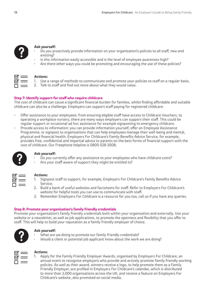

#### **Ask yourself:**

- Do you proactively provide information on your organisation's policies to all staff, new and existing?
- Is this information easily accessible and is the level of employee awareness high?
- Are there other ways you could be promoting and encouraging the use of these policies?

#### **Actions:**

- 1. Use a range of methods to communicate and promote your policies to staff on a regular basis.
- 2. Talk to staff and find out more about what they would value.

#### **Step 7: Identify support for staff who require childcare**

The cost of childcare can cause a significant financial burden for families, whilst finding affordable and suitable childcare can also be a challenge. Employers can support staff paying for registered childcare:

- Offer assistance to your employees: from ensuring eligible staff have access to Childcare Vouchers, to operating a workplace nursery, there are many ways employers can support their staff. This could be regular support or occasional ad hoc assistance for example signposting to emergency childcare.
- Provide access to information: you can provide information yourself, offer an Employee Assistance Programme, or signpost to organisations that can help employees manage their well-being and mental, physical and financial health. Employers For Childcare's Family Benefits Advice Service, for example, provides free, confidential and impartial advice to parents on the best forms of financial support with the cost of childcare. Our Freephone helpline is 0800 028 3008.



#### **Ask yourself:**

- Do you currently offer any assistance to your employees who have childcare costs?
- Are your staff aware of support they might be entitled to?

#### **Actions:**

- 1. Signpost staff to support, for example, Employers For Childcare's Family Benefits Advice Service.
- 2. Build a bank of useful websites and factsheets for staff. Refer to Employers For Childcare's website for helpful tools you can use to communicate with staff.
- 3. Remember Employers For Childcare is a resource for you too, call us if you have any queries.

#### **Step 8: Promote your organisation's family friendly credentials**

Promote your organisation's family friendly credentials both within your organisation and externally. Use your website or a newsletter, as well as job applications, to promote the openness and flexibility that you offer to staff. This will help to build your reputation as a family friendly employer of choice.



#### **Ask yourself:**

- What are we doing to promote our family friendly credentials?
- Would a client or potential job applicant know about the work we are doing?

#### **Actions:**

1. Apply for the Family Friendly Employer Awards, organised by Employers For Childcare, an annual event to recognise employers who provide and actively promote family friendly working policies. As well as their award, winners receive a logo, to help promote them as a Family Friendly Employer, are profiled in Employers For Childcare's calendar, which is distributed to more than 3,000 organisations across the UK, and receive a feature on Employers For Childcare's website, also promoted on social media.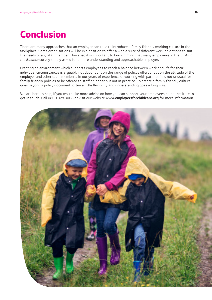# Conclusion

There are many approaches that an employer can take to introduce a family friendly working culture in the workplace. Some organisations will be in a position to offer a whole suite of different working options to suit the needs of any staff member. However, it is important to keep in mind that many employees in the *Striking the Balance* survey simply asked for a more understanding and approachable employer.

Creating an environment which supports employees to reach a balance between work and life for their individual circumstances is arguably not dependent on the range of polices offered, but on the attitude of the employer and other team members. In our years of experience of working with parents, it is not unusual for family friendly policies to be offered to staff on paper but not in practice. To create a family friendly culture goes beyond a policy document; often a little flexibility and understanding goes a long way.

We are here to help, if you would like more advice on how you can support your employees do not hesitate to get in touch. Call 0800 028 3008 or visit our website **www.employersforchildcare.org** for more information.